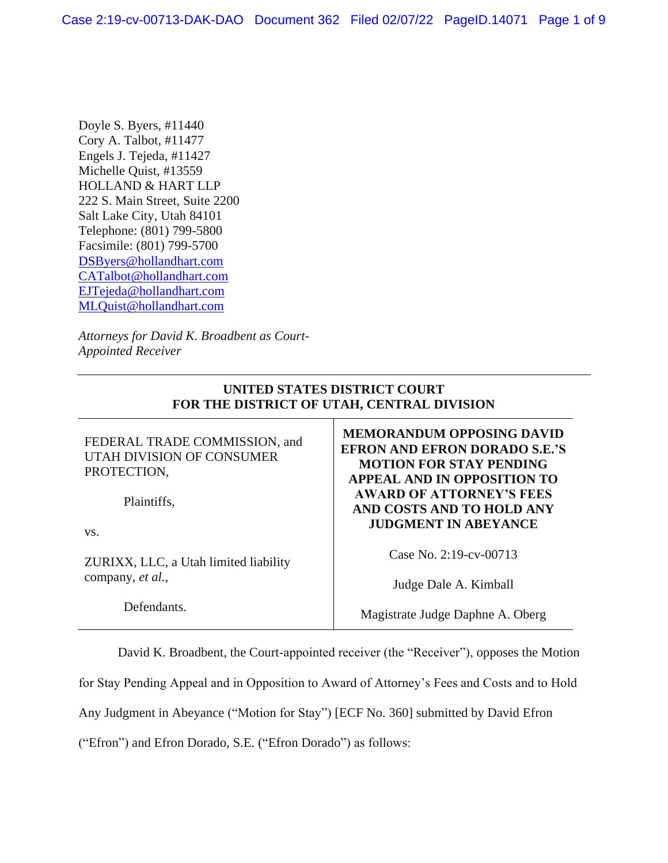Doyle S. Byers, #11440 Cory A. Talbot, #11477 Engels J. Tejeda, #11427 Michelle Quist, #13559 HOLLAND & HART LLP 222 S. Main Street, Suite 2200 Salt Lake City, Utah 84101 Telephone: (801) 799-5800 Facsimile: (801) 799-5700 [DSByers@hollandhart.com](mailto:DSByers@hollandhart.com) [CATalbot@hollandhart.com](mailto:CATalbot@hollandhart.com) [EJTejeda@hollandhart.com](mailto:EJTejeda@hollandhart.com) [MLQuist@hollandhart.com](mailto:MLQuist@hollandhart.com)

*Attorneys for David K. Broadbent as Court-Appointed Receiver*

| UNITED STATES DISTRICT COURT<br>FOR THE DISTRICT OF UTAH, CENTRAL DIVISION |                                                                                                                                                  |
|----------------------------------------------------------------------------|--------------------------------------------------------------------------------------------------------------------------------------------------|
| FEDERAL TRADE COMMISSION, and<br>UTAH DIVISION OF CONSUMER<br>PROTECTION,  | <b>MEMORANDUM OPPOSING DAVID</b><br><b>EFRON AND EFRON DORADO S.E.'S</b><br><b>MOTION FOR STAY PENDING</b><br><b>APPEAL AND IN OPPOSITION TO</b> |
| Plaintiffs,<br>VS.                                                         | <b>AWARD OF ATTORNEY'S FEES</b><br>AND COSTS AND TO HOLD ANY<br><b>JUDGMENT IN ABEYANCE</b>                                                      |
| ZURIXX, LLC, a Utah limited liability                                      | Case No. 2:19-cv-00713                                                                                                                           |
| company, <i>et al.</i> ,                                                   | Judge Dale A. Kimball                                                                                                                            |

Defendants.

Magistrate Judge Daphne A. Oberg

David K. Broadbent, the Court-appointed receiver (the "Receiver"), opposes the Motion

for Stay Pending Appeal and in Opposition to Award of Attorney's Fees and Costs and to Hold

Any Judgment in Abeyance ("Motion for Stay") [ECF No. 360] submitted by David Efron

("Efron") and Efron Dorado, S.E. ("Efron Dorado") as follows: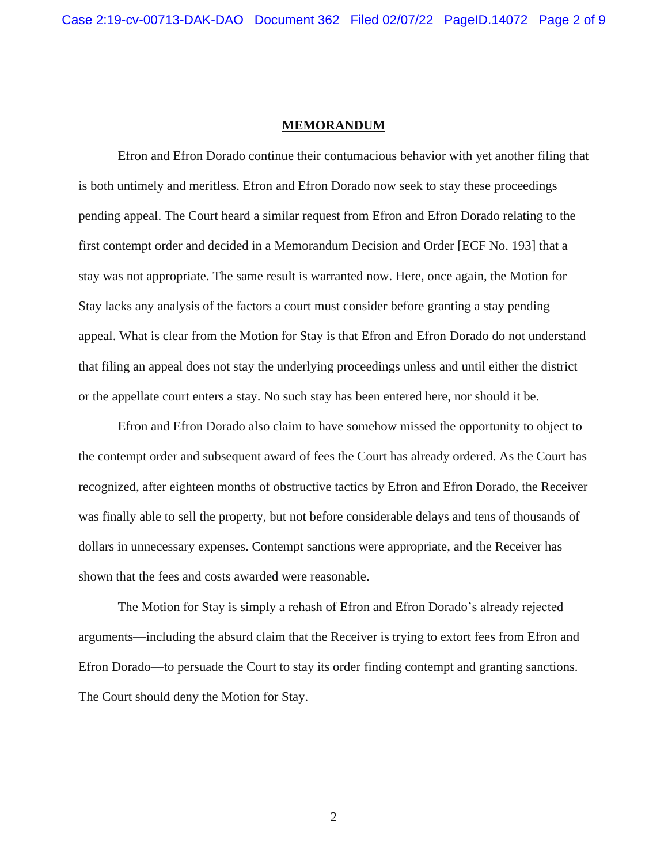#### **MEMORANDUM**

Efron and Efron Dorado continue their contumacious behavior with yet another filing that is both untimely and meritless. Efron and Efron Dorado now seek to stay these proceedings pending appeal. The Court heard a similar request from Efron and Efron Dorado relating to the first contempt order and decided in a Memorandum Decision and Order [ECF No. 193] that a stay was not appropriate. The same result is warranted now. Here, once again, the Motion for Stay lacks any analysis of the factors a court must consider before granting a stay pending appeal. What is clear from the Motion for Stay is that Efron and Efron Dorado do not understand that filing an appeal does not stay the underlying proceedings unless and until either the district or the appellate court enters a stay. No such stay has been entered here, nor should it be.

Efron and Efron Dorado also claim to have somehow missed the opportunity to object to the contempt order and subsequent award of fees the Court has already ordered. As the Court has recognized, after eighteen months of obstructive tactics by Efron and Efron Dorado, the Receiver was finally able to sell the property, but not before considerable delays and tens of thousands of dollars in unnecessary expenses. Contempt sanctions were appropriate, and the Receiver has shown that the fees and costs awarded were reasonable.

The Motion for Stay is simply a rehash of Efron and Efron Dorado's already rejected arguments—including the absurd claim that the Receiver is trying to extort fees from Efron and Efron Dorado—to persuade the Court to stay its order finding contempt and granting sanctions. The Court should deny the Motion for Stay.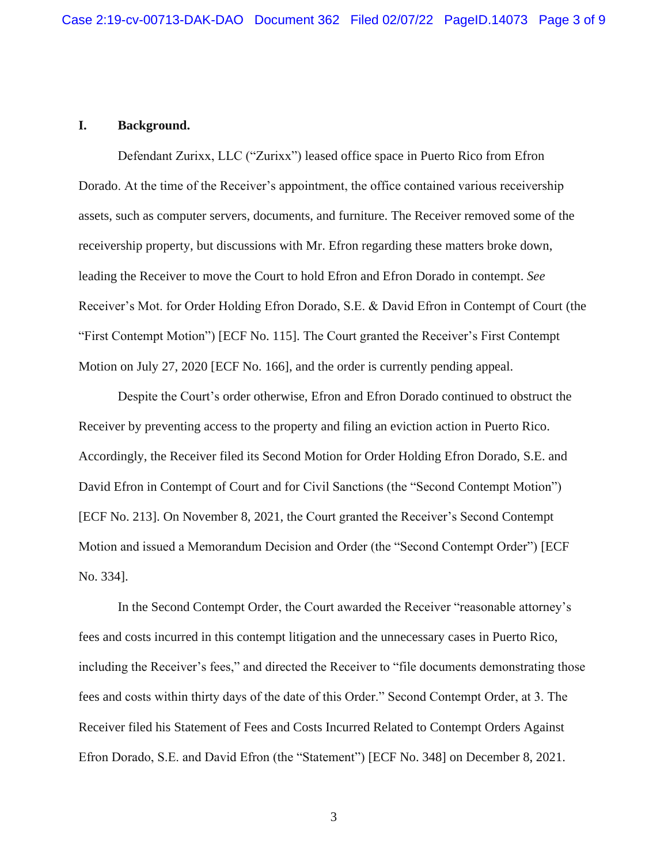## **I. Background.**

Defendant Zurixx, LLC ("Zurixx") leased office space in Puerto Rico from Efron Dorado. At the time of the Receiver's appointment, the office contained various receivership assets, such as computer servers, documents, and furniture. The Receiver removed some of the receivership property, but discussions with Mr. Efron regarding these matters broke down, leading the Receiver to move the Court to hold Efron and Efron Dorado in contempt. *See* Receiver's Mot. for Order Holding Efron Dorado, S.E. & David Efron in Contempt of Court (the "First Contempt Motion") [ECF No. 115]. The Court granted the Receiver's First Contempt Motion on July 27, 2020 [ECF No. 166], and the order is currently pending appeal.

Despite the Court's order otherwise, Efron and Efron Dorado continued to obstruct the Receiver by preventing access to the property and filing an eviction action in Puerto Rico. Accordingly, the Receiver filed its Second Motion for Order Holding Efron Dorado, S.E. and David Efron in Contempt of Court and for Civil Sanctions (the "Second Contempt Motion") [ECF No. 213]. On November 8, 2021, the Court granted the Receiver's Second Contempt Motion and issued a Memorandum Decision and Order (the "Second Contempt Order") [ECF No. 334].

In the Second Contempt Order, the Court awarded the Receiver "reasonable attorney's fees and costs incurred in this contempt litigation and the unnecessary cases in Puerto Rico, including the Receiver's fees," and directed the Receiver to "file documents demonstrating those fees and costs within thirty days of the date of this Order." Second Contempt Order, at 3. The Receiver filed his Statement of Fees and Costs Incurred Related to Contempt Orders Against Efron Dorado, S.E. and David Efron (the "Statement") [ECF No. 348] on December 8, 2021.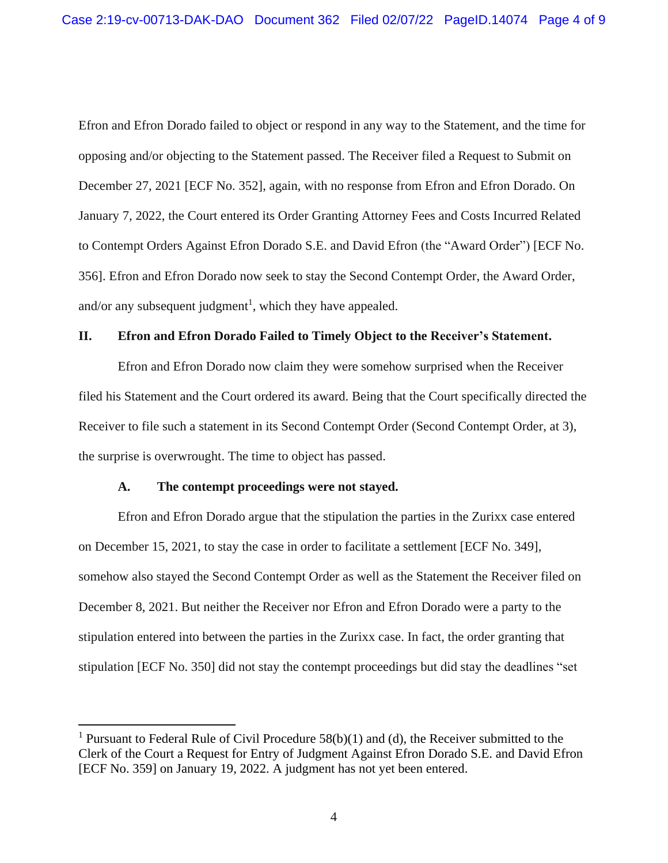Efron and Efron Dorado failed to object or respond in any way to the Statement, and the time for opposing and/or objecting to the Statement passed. The Receiver filed a Request to Submit on December 27, 2021 [ECF No. 352], again, with no response from Efron and Efron Dorado. On January 7, 2022, the Court entered its Order Granting Attorney Fees and Costs Incurred Related to Contempt Orders Against Efron Dorado S.E. and David Efron (the "Award Order") [ECF No. 356]. Efron and Efron Dorado now seek to stay the Second Contempt Order, the Award Order, and/or any subsequent judgment<sup>1</sup>, which they have appealed.

### **II. Efron and Efron Dorado Failed to Timely Object to the Receiver's Statement.**

Efron and Efron Dorado now claim they were somehow surprised when the Receiver filed his Statement and the Court ordered its award. Being that the Court specifically directed the Receiver to file such a statement in its Second Contempt Order (Second Contempt Order, at 3), the surprise is overwrought. The time to object has passed.

### **A. The contempt proceedings were not stayed.**

Efron and Efron Dorado argue that the stipulation the parties in the Zurixx case entered on December 15, 2021, to stay the case in order to facilitate a settlement [ECF No. 349], somehow also stayed the Second Contempt Order as well as the Statement the Receiver filed on December 8, 2021. But neither the Receiver nor Efron and Efron Dorado were a party to the stipulation entered into between the parties in the Zurixx case. In fact, the order granting that stipulation [ECF No. 350] did not stay the contempt proceedings but did stay the deadlines "set

<sup>&</sup>lt;sup>1</sup> Pursuant to Federal Rule of Civil Procedure  $58(b)(1)$  and (d), the Receiver submitted to the Clerk of the Court a Request for Entry of Judgment Against Efron Dorado S.E. and David Efron [ECF No. 359] on January 19, 2022. A judgment has not yet been entered.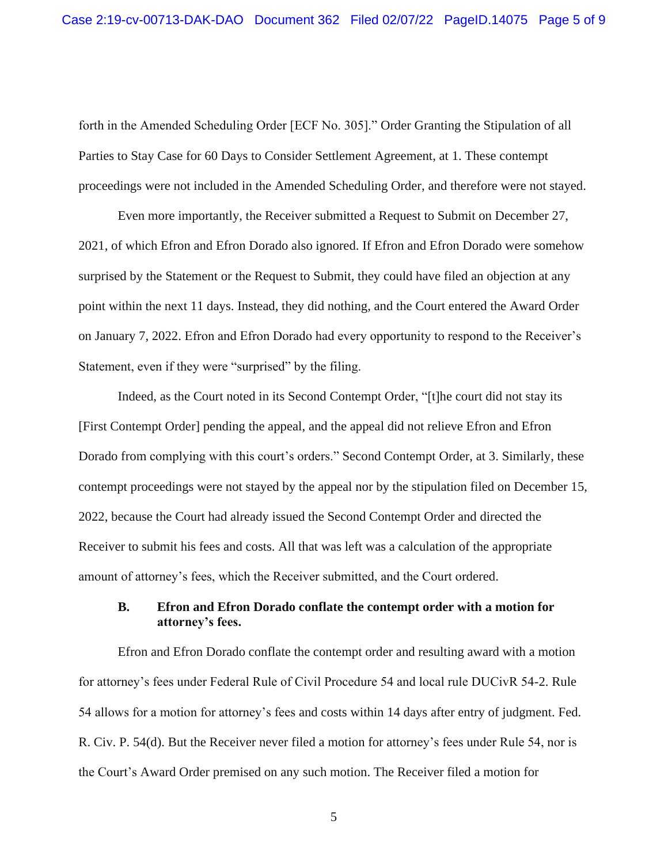forth in the Amended Scheduling Order [ECF No. 305]." Order Granting the Stipulation of all Parties to Stay Case for 60 Days to Consider Settlement Agreement, at 1. These contempt proceedings were not included in the Amended Scheduling Order, and therefore were not stayed.

Even more importantly, the Receiver submitted a Request to Submit on December 27, 2021, of which Efron and Efron Dorado also ignored. If Efron and Efron Dorado were somehow surprised by the Statement or the Request to Submit, they could have filed an objection at any point within the next 11 days. Instead, they did nothing, and the Court entered the Award Order on January 7, 2022. Efron and Efron Dorado had every opportunity to respond to the Receiver's Statement, even if they were "surprised" by the filing.

Indeed, as the Court noted in its Second Contempt Order, "[t]he court did not stay its [First Contempt Order] pending the appeal, and the appeal did not relieve Efron and Efron Dorado from complying with this court's orders." Second Contempt Order, at 3. Similarly, these contempt proceedings were not stayed by the appeal nor by the stipulation filed on December 15, 2022, because the Court had already issued the Second Contempt Order and directed the Receiver to submit his fees and costs. All that was left was a calculation of the appropriate amount of attorney's fees, which the Receiver submitted, and the Court ordered.

# **B. Efron and Efron Dorado conflate the contempt order with a motion for attorney's fees.**

Efron and Efron Dorado conflate the contempt order and resulting award with a motion for attorney's fees under Federal Rule of Civil Procedure 54 and local rule DUCivR 54-2. Rule 54 allows for a motion for attorney's fees and costs within 14 days after entry of judgment. Fed. R. Civ. P. 54(d). But the Receiver never filed a motion for attorney's fees under Rule 54, nor is the Court's Award Order premised on any such motion. The Receiver filed a motion for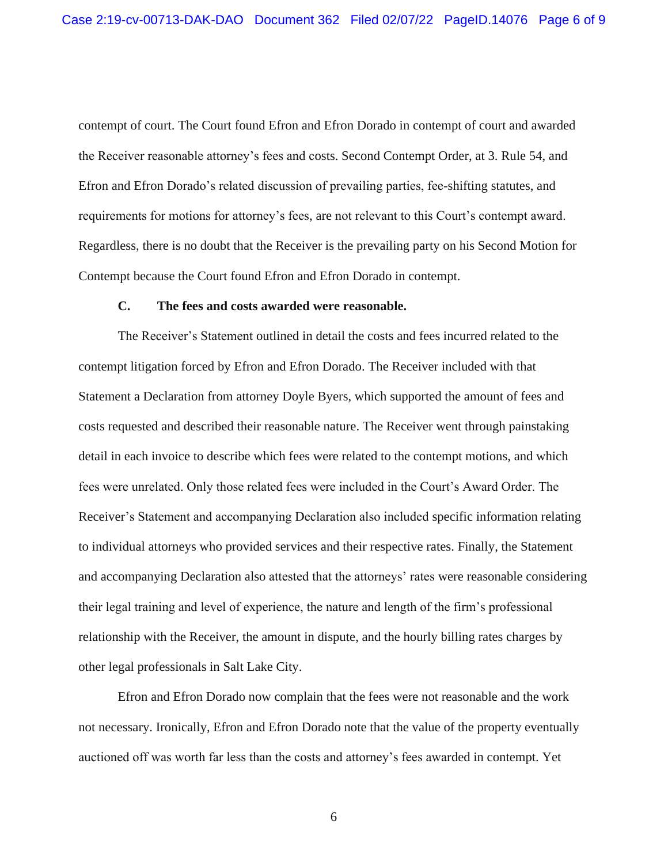contempt of court. The Court found Efron and Efron Dorado in contempt of court and awarded the Receiver reasonable attorney's fees and costs. Second Contempt Order, at 3. Rule 54, and Efron and Efron Dorado's related discussion of prevailing parties, fee-shifting statutes, and requirements for motions for attorney's fees, are not relevant to this Court's contempt award. Regardless, there is no doubt that the Receiver is the prevailing party on his Second Motion for Contempt because the Court found Efron and Efron Dorado in contempt.

# **C. The fees and costs awarded were reasonable.**

The Receiver's Statement outlined in detail the costs and fees incurred related to the contempt litigation forced by Efron and Efron Dorado. The Receiver included with that Statement a Declaration from attorney Doyle Byers, which supported the amount of fees and costs requested and described their reasonable nature. The Receiver went through painstaking detail in each invoice to describe which fees were related to the contempt motions, and which fees were unrelated. Only those related fees were included in the Court's Award Order. The Receiver's Statement and accompanying Declaration also included specific information relating to individual attorneys who provided services and their respective rates. Finally, the Statement and accompanying Declaration also attested that the attorneys' rates were reasonable considering their legal training and level of experience, the nature and length of the firm's professional relationship with the Receiver, the amount in dispute, and the hourly billing rates charges by other legal professionals in Salt Lake City.

Efron and Efron Dorado now complain that the fees were not reasonable and the work not necessary. Ironically, Efron and Efron Dorado note that the value of the property eventually auctioned off was worth far less than the costs and attorney's fees awarded in contempt. Yet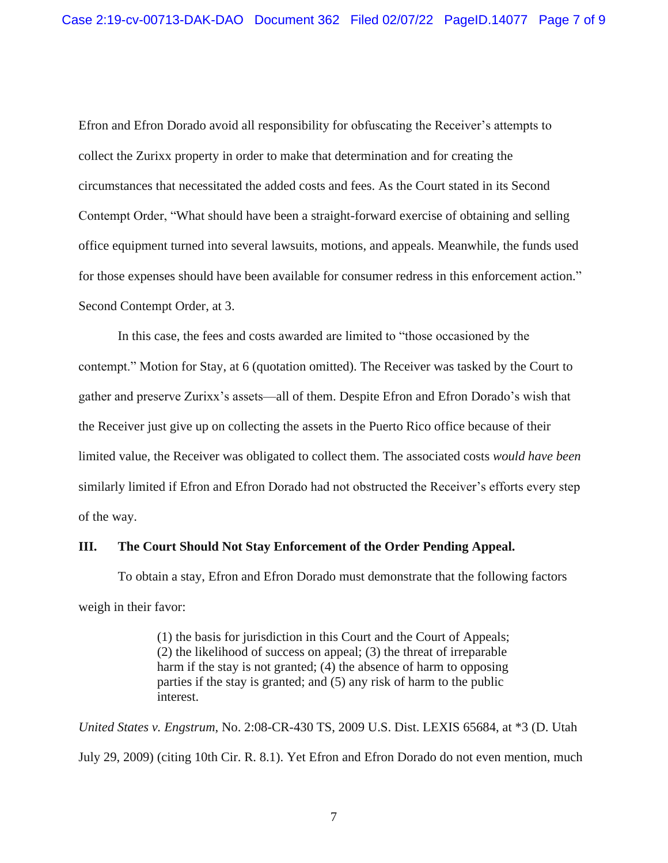Efron and Efron Dorado avoid all responsibility for obfuscating the Receiver's attempts to collect the Zurixx property in order to make that determination and for creating the circumstances that necessitated the added costs and fees. As the Court stated in its Second Contempt Order, "What should have been a straight-forward exercise of obtaining and selling office equipment turned into several lawsuits, motions, and appeals. Meanwhile, the funds used for those expenses should have been available for consumer redress in this enforcement action." Second Contempt Order, at 3.

In this case, the fees and costs awarded are limited to "those occasioned by the contempt." Motion for Stay, at 6 (quotation omitted). The Receiver was tasked by the Court to gather and preserve Zurixx's assets—all of them. Despite Efron and Efron Dorado's wish that the Receiver just give up on collecting the assets in the Puerto Rico office because of their limited value, the Receiver was obligated to collect them. The associated costs *would have been*  similarly limited if Efron and Efron Dorado had not obstructed the Receiver's efforts every step of the way.

# **III. The Court Should Not Stay Enforcement of the Order Pending Appeal.**

To obtain a stay, Efron and Efron Dorado must demonstrate that the following factors weigh in their favor:

> (1) the basis for jurisdiction in this Court and the Court of Appeals; (2) the likelihood of success on appeal; (3) the threat of irreparable harm if the stay is not granted; (4) the absence of harm to opposing parties if the stay is granted; and (5) any risk of harm to the public interest.

*United States v. Engstrum*, No. 2:08-CR-430 TS, 2009 U.S. Dist. LEXIS 65684, at \*3 (D. Utah July 29, 2009) (citing 10th Cir. R. 8.1). Yet Efron and Efron Dorado do not even mention, much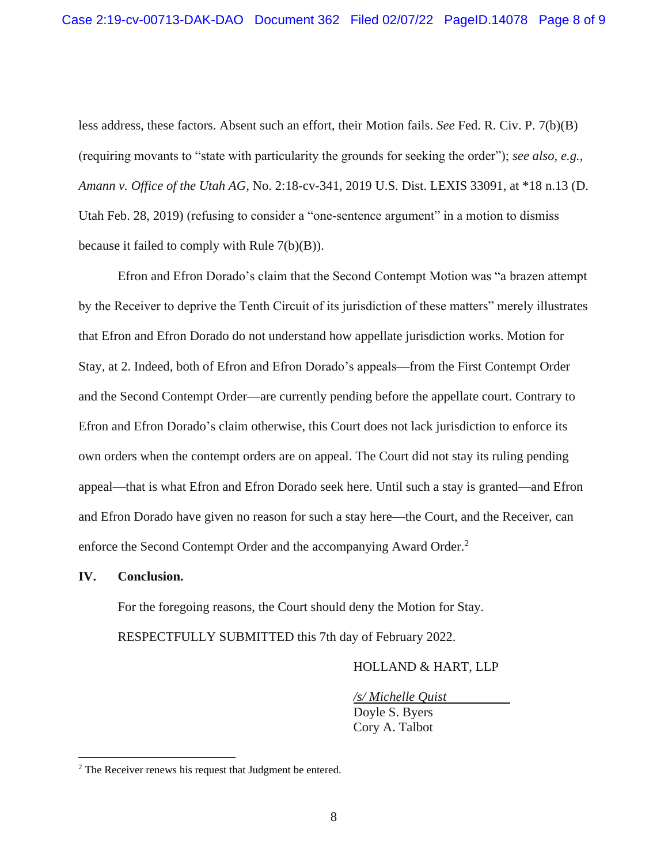less address, these factors. Absent such an effort, their Motion fails. *See* Fed. R. Civ. P. 7(b)(B) (requiring movants to "state with particularity the grounds for seeking the order"); *see also, e.g., Amann v. Office of the Utah AG*, No. 2:18-cv-341, 2019 U.S. Dist. LEXIS 33091, at \*18 n.13 (D. Utah Feb. 28, 2019) (refusing to consider a "one-sentence argument" in a motion to dismiss because it failed to comply with Rule 7(b)(B)).

Efron and Efron Dorado's claim that the Second Contempt Motion was "a brazen attempt by the Receiver to deprive the Tenth Circuit of its jurisdiction of these matters" merely illustrates that Efron and Efron Dorado do not understand how appellate jurisdiction works. Motion for Stay, at 2. Indeed, both of Efron and Efron Dorado's appeals—from the First Contempt Order and the Second Contempt Order—are currently pending before the appellate court. Contrary to Efron and Efron Dorado's claim otherwise, this Court does not lack jurisdiction to enforce its own orders when the contempt orders are on appeal. The Court did not stay its ruling pending appeal—that is what Efron and Efron Dorado seek here. Until such a stay is granted—and Efron and Efron Dorado have given no reason for such a stay here—the Court, and the Receiver, can enforce the Second Contempt Order and the accompanying Award Order.<sup>2</sup>

# **IV. Conclusion.**

For the foregoing reasons, the Court should deny the Motion for Stay. RESPECTFULLY SUBMITTED this 7th day of February 2022.

# HOLLAND & HART, LLP

*/s/ Michelle Quist* Doyle S. Byers Cory A. Talbot

<sup>&</sup>lt;sup>2</sup> The Receiver renews his request that Judgment be entered.